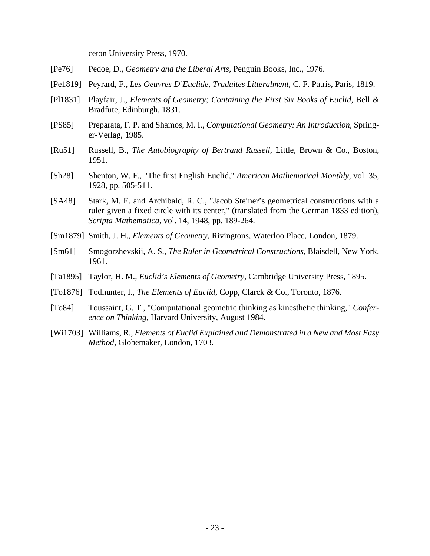ceton University Press, 1970.

- [Pe76] Pedoe, D., *Geometry and the Liberal Arts,* Penguin Books, Inc., 1976.
- [Pe1819] Peyrard, F., *Les Oeuvres D'Euclide, Traduites Litteralment*, C. F. Patris, Paris, 1819.
- [Pl1831] Playfair, J., *Elements of Geometry; Containing the First Six Books of Euclid*, Bell & Bradfute, Edinburgh, 1831.
- [PS85] Preparata, F. P. and Shamos, M. I., *Computational Geometry: An Introduction,* Springer-Verlag, 1985.
- [Ru51] Russell, B., *The Autobiography of Bertrand Russell*, Little, Brown & Co., Boston, 1951.
- [Sh28] Shenton, W. F., "The first English Euclid," *American Mathematical Monthly*, vol. 35, 1928, pp. 505-511.
- [SA48] Stark, M. E. and Archibald, R. C., "Jacob Steiner's geometrical constructions with a ruler given a fixed circle with its center," (translated from the German 1833 edition), *Scripta Mathematica*, vol. 14, 1948, pp. 189-264.
- [Sm1879] Smith, J. H., *Elements of Geometry*, Rivingtons, Waterloo Place, London, 1879.
- [Sm61] Smogorzhevskii, A. S., *The Ruler in Geometrical Constructions,* Blaisdell, New York, 1961.
- [Ta1895] Taylor, H. M., *Euclid's Elements of Geometry*, Cambridge University Press, 1895.
- [To1876] Todhunter, I., *The Elements of Euclid*, Copp, Clarck & Co., Toronto, 1876.
- [To84] Toussaint, G. T., "Computational geometric thinking as kinesthetic thinking," *Conference on Thinking,* Harvard University, August 1984.
- [Wi1703] Williams, R., *Elements of Euclid Explained and Demonstrated in a New and Most Easy Method*, Globemaker, London, 1703.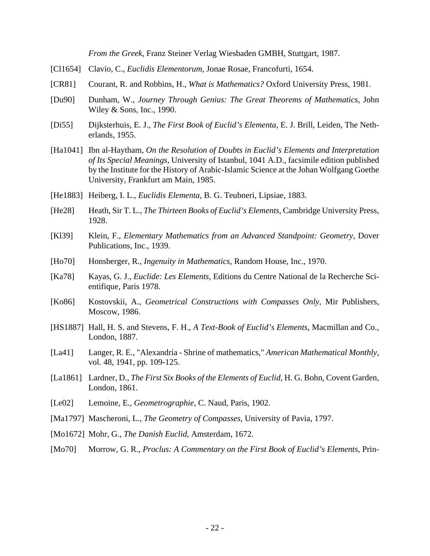*From the Greek,* Franz Steiner Verlag Wiesbaden GMBH, Stuttgart, 1987.

- [Cl1654] Clavio, C., *Euclidis Elementorum*, Jonae Rosae, Francofurti, 1654.
- [CR81] Courant, R. and Robbins, H., *What is Mathematics?* Oxford University Press, 1981.
- [Du90] Dunham, W., *Journey Through Genius: The Great Theorems of Mathematics,* John Wiley & Sons, Inc., 1990.
- [Di55] Dijksterhuis, E. J., *The First Book of Euclid's Elementa*, E. J. Brill, Leiden, The Netherlands, 1955.
- [Ha1041] Ibn al-Haytham, *On the Resolution of Doubts in Euclid's Elements and Interpretation of Its Special Meanings,* University of Istanbul, 1041 A.D., facsimile edition published by the Institute for the History of Arabic-Islamic Science at the Johan Wolfgang Goethe University, Frankfurt am Main, 1985.
- [He1883] Heiberg, I. L., *Euclidis Elementa*, B. G. Teubneri, Lipsiae, 1883.
- [He28] Heath, Sir T. L., *The Thirteen Books of Euclid's Elements,* Cambridge University Press, 1928.
- [Kl39] Klein, F., *Elementary Mathematics from an Advanced Standpoint: Geometry*, Dover Publications, Inc., 1939.
- [Ho70] Honsberger, R., *Ingenuity in Mathematics,* Random House, Inc., 1970.
- [Ka78] Kayas, G. J., *Euclide: Les Elements*, Editions du Centre National de la Recherche Scientifique, Paris 1978.
- [Ko86] Kostovskii, A., *Geometrical Constructions with Compasses Only,* Mir Publishers, Moscow, 1986.
- [HS1887] Hall, H. S. and Stevens, F. H., *A Text-Book of Euclid's Elements*, Macmillan and Co., London, 1887.
- [La41] Langer, R. E., "Alexandria Shrine of mathematics," *American Mathematical Monthly*, vol. 48, 1941, pp. 109-125.
- [La1861] Lardner, D., *The First Six Books of the Elements of Euclid,* H. G. Bohn, Covent Garden, London, 1861.
- [Le02] Lemoine, E., *Geometrographie,* C. Naud, Paris, 1902.
- [Ma1797] Mascheroni, L., *The Geometry of Compasses,* University of Pavia, 1797.
- [Mo1672] Mohr, G., *The Danish Euclid*, Amsterdam, 1672.
- [Mo70] Morrow, G. R., *Proclus: A Commentary on the First Book of Euclid's Elements,* Prin-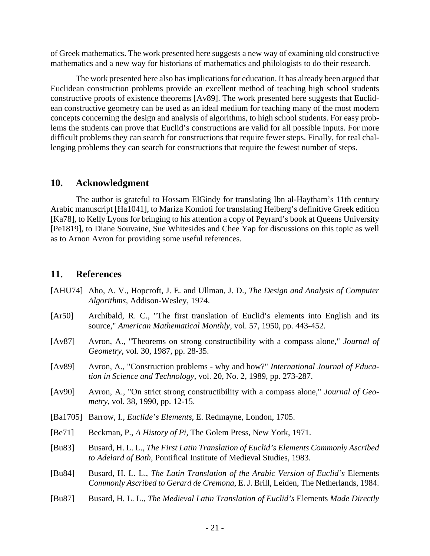of Greek mathematics. The work presented here suggests a new way of examining old constructive mathematics and a new way for historians of mathematics and philologists to do their research.

The work presented here also has implications for education. It has already been argued that Euclidean construction problems provide an excellent method of teaching high school students constructive proofs of existence theorems [Av89]. The work presented here suggests that Euclidean constructive geometry can be used as an ideal medium for teaching many of the most modern concepts concerning the design and analysis of algorithms, to high school students. For easy problems the students can prove that Euclid's constructions are valid for all possible inputs. For more difficult problems they can search for constructions that require fewer steps. Finally, for real challenging problems they can search for constructions that require the fewest number of steps.

# **10. Acknowledgment**

The author is grateful to Hossam ElGindy for translating Ibn al-Haytham's 11th century Arabic manuscript [Ha1041], to Mariza Komioti for translating Heiberg's definitive Greek edition [Ka78], to Kelly Lyons for bringing to his attention a copy of Peyrard's book at Queens University [Pe1819], to Diane Souvaine, Sue Whitesides and Chee Yap for discussions on this topic as well as to Arnon Avron for providing some useful references.

# **11. References**

- [AHU74] Aho, A. V., Hopcroft, J. E. and Ullman, J. D., *The Design and Analysis of Computer Algorithms,* Addison-Wesley, 1974.
- [Ar50] Archibald, R. C., "The first translation of Euclid's elements into English and its source," *American Mathematical Monthly,* vol. 57, 1950, pp. 443-452.
- [Av87] Avron, A., "Theorems on strong constructibility with a compass alone," *Journal of Geometry*, vol. 30, 1987, pp. 28-35.
- [Av89] Avron, A., "Construction problems why and how?" *International Journal of Education in Science and Technology*, vol. 20, No. 2, 1989, pp. 273-287.
- [Av90] Avron, A., "On strict strong constructibility with a compass alone," *Journal of Geometry,* vol. 38, 1990, pp. 12-15.
- [Ba1705] Barrow, I., *Euclide's Elements*, E. Redmayne, London, 1705.
- [Be71] Beckman, P., *A History of Pi*, The Golem Press, New York, 1971.
- [Bu83] Busard, H. L. L., *The First Latin Translation of Euclid's Elements Commonly Ascribed to Adelard of Bath*, Pontifical Institute of Medieval Studies, 1983.
- [Bu84] Busard, H. L. L., *The Latin Translation of the Arabic Version of Euclid's* Elements *Commonly Ascribed to Gerard de Cremona*, E. J. Brill, Leiden, The Netherlands, 1984.
- [Bu87] Busard, H. L. L., *The Medieval Latin Translation of Euclid's* Elements *Made Directly*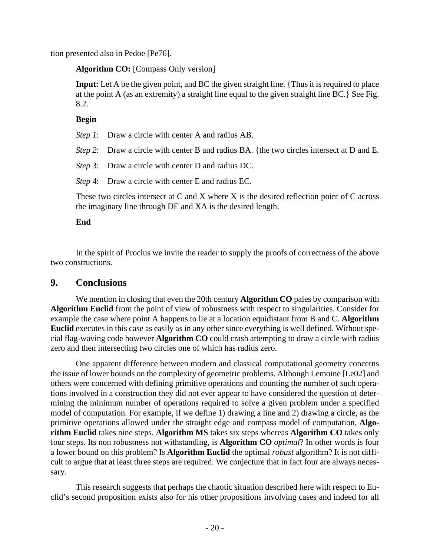tion presented also in Pedoe [Pe76].

**Algorithm CO:** [Compass Only version]

**Input:** Let A be the given point, and BC the given straight line. {Thus it is required to place at the point A (as an extremity) a straight line equal to the given straight line BC.} See Fig. 8.2.

### **Begin**

*Step 1*: Draw a circle with center A and radius AB.

*Step 2*: Draw a circle with center B and radius BA. {the two circles intersect at D and E.

*Step* 3: Draw a circle with center D and radius DC.

*Step* 4: Draw a circle with center E and radius EC.

These two circles intersect at C and X where X is the desired reflection point of C across the imaginary line through DE and XA is the desired length.

## **End**

In the spirit of Proclus we invite the reader to supply the proofs of correctness of the above two constructions.

# **9. Conclusions**

We mention in closing that even the 20th century **Algorithm CO** pales by comparison with **Algorithm Euclid** from the point of view of robustness with respect to singularities. Consider for example the case where point A happens to lie at a location equidistant from B and C. **Algorithm Euclid** executes in this case as easily as in any other since everything is well defined. Without special flag-waving code however **Algorithm CO** could crash attempting to draw a circle with radius zero and then intersecting two circles one of which has radius zero.

One apparent difference between modern and classical computational geometry concerns the issue of lower bounds on the complexity of geometric problems. Although Lemoine [Le02] and others were concerned with defining primitive operations and counting the number of such operations involved in a construction they did not ever appear to have considered the question of determining the minimum number of operations required to solve a given problem under a specified model of computation. For example, if we define 1) drawing a line and 2) drawing a circle, as the primitive operations allowed under the straight edge and compass model of computation, **Algorithm Euclid** takes nine steps, **Algorithm MS** takes six steps whereas **Algorithm CO** takes only four steps. Its non robustness not withstanding, is **Algorithm CO** *optimal*? In other words is four a lower bound on this problem? Is **Algorithm Euclid** the optimal *robust* algorithm? It is not difficult to argue that at least three steps are required. We conjecture that in fact four are always necessary.

This research suggests that perhaps the chaotic situation described here with respect to Euclid's second proposition exists also for his other propositions involving cases and indeed for all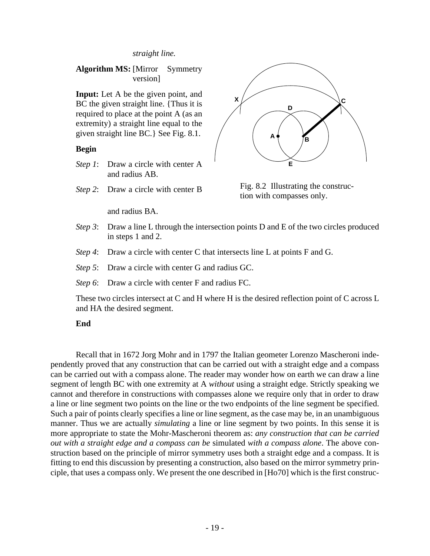#### *straight line.*

## **Algorithm MS:** [Mirror Symmetry version]

**Input:** Let A be the given point, and BC the given straight line. {Thus it is required to place at the point A (as an extremity) a straight line equal to the given straight line BC.} See Fig. 8.1.

#### **Begin**

- *Step 1*: Draw a circle with center A and radius AB.
- *Step 2*: Draw a circle with center B

and radius BA.



Fig. 8.2 Illustrating the construction with compasses only.

- *Step 3*: Draw a line L through the intersection points D and E of the two circles produced in steps 1 and 2.
- *Step 4*: Draw a circle with center C that intersects line L at points F and G.
- *Step 5*: Draw a circle with center G and radius GC.
- *Step 6*: Draw a circle with center F and radius FC.

These two circles intersect at C and H where H is the desired reflection point of C across L and HA the desired segment.

#### **End**

Recall that in 1672 Jorg Mohr and in 1797 the Italian geometer Lorenzo Mascheroni independently proved that any construction that can be carried out with a straight edge and a compass can be carried out with a compass alone. The reader may wonder how on earth we can draw a line segment of length BC with one extremity at A *without* using a straight edge. Strictly speaking we cannot and therefore in constructions with compasses alone we require only that in order to draw a line or line segment two points on the line or the two endpoints of the line segment be specified. Such a pair of points clearly specifies a line or line segment, as the case may be, in an unambiguous manner. Thus we are actually *simulating* a line or line segment by two points. In this sense it is more appropriate to state the Mohr-Mascheroni theorem as: *any construction that can be carried out with a straight edge and a compass can be* simulated *with a compass alone*. The above construction based on the principle of mirror symmetry uses both a straight edge and a compass. It is fitting to end this discussion by presenting a construction, also based on the mirror symmetry principle, that uses a compass only. We present the one described in [Ho70] which is the first construc-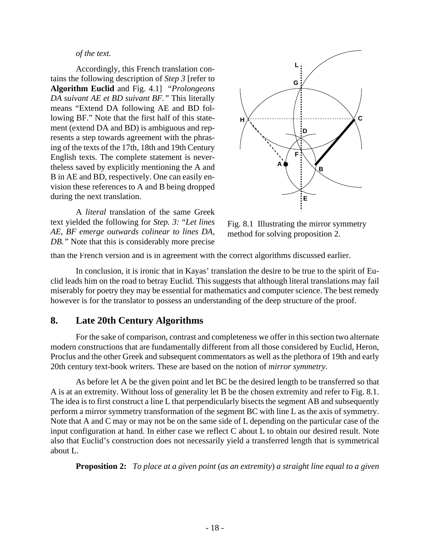#### *of the text.*

Accordingly, this French translation contains the following description of *Step 3* [refer to **Algorithm Euclid** and Fig. 4.1] "*Prolongeons DA suivant AE et BD suivant BF."* This literally means "Extend DA following AE and BD following BF." Note that the first half of this statement (extend DA and BD) is ambiguous and represents a step towards agreement with the phrasing of the texts of the 17th, 18th and 19th Century English texts. The complete statement is nevertheless saved by explicitly mentioning the A and B in AE and BD, respectively. One can easily envision these references to A and B being dropped during the next translation.

A *literal* translation of the same Greek text yielded the following for *Step. 3:* "*Let lines AE, BF emerge outwards colinear to lines DA, DB."* Note that this is considerably more precise



Fig. 8.1 Illustrating the mirror symmetry method for solving proposition 2.

than the French version and is in agreement with the correct algorithms discussed earlier.

In conclusion, it is ironic that in Kayas' translation the desire to be true to the spirit of Euclid leads him on the road to betray Euclid. This suggests that although literal translations may fail miserably for poetry they may be essential for mathematics and computer science. The best remedy however is for the translator to possess an understanding of the deep structure of the proof.

# **8. Late 20th Century Algorithms**

For the sake of comparison, contrast and completeness we offer in this section two alternate modern constructions that are fundamentally different from all those considered by Euclid, Heron, Proclus and the other Greek and subsequent commentators as well as the plethora of 19th and early 20th century text-book writers. These are based on the notion of *mirror symmetry.*

As before let A be the given point and let BC be the desired length to be transferred so that A is at an extremity. Without loss of generality let B be the chosen extremity and refer to Fig. 8.1. The idea is to first construct a line L that perpendicularly bisects the segment AB and subsequently perform a mirror symmetry transformation of the segment BC with line L as the axis of symmetry. Note that A and C may or may not be on the same side of L depending on the particular case of the input configuration at hand. In either case we reflect C about L to obtain our desired result. Note also that Euclid's construction does not necessarily yield a transferred length that is symmetrical about L.

**Proposition 2:** *To place at a given point* (*as an extremity*) *a straight line equal to a given*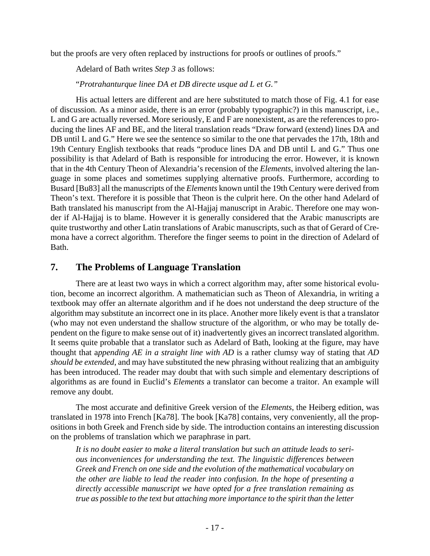but the proofs are very often replaced by instructions for proofs or outlines of proofs."

Adelard of Bath writes *Step 3* as follows:

"*Protrahanturque linee DA et DB directe usque ad L et G."*

His actual letters are different and are here substituted to match those of Fig. 4.1 for ease of discussion. As a minor aside, there is an error (probably typographic?) in this manuscript, i.e., L and G are actually reversed. More seriously, E and F are nonexistent, as are the references to producing the lines AF and BE, and the literal translation reads "Draw forward (extend) lines DA and DB until L and G." Here we see the sentence so similar to the one that pervades the 17th, 18th and 19th Century English textbooks that reads "produce lines DA and DB until L and G." Thus one possibility is that Adelard of Bath is responsible for introducing the error. However, it is known that in the 4th Century Theon of Alexandria's recension of the *Elements*, involved altering the language in some places and sometimes supplying alternative proofs. Furthermore, according to Busard [Bu83] all the manuscripts of the *Elements* known until the 19th Century were derived from Theon's text. Therefore it is possible that Theon is the culprit here. On the other hand Adelard of Bath translated his manuscript from the Al-Hajjaj manuscript in Arabic. Therefore one may wonder if Al-Hajjaj is to blame. However it is generally considered that the Arabic manuscripts are quite trustworthy and other Latin translations of Arabic manuscripts, such as that of Gerard of Cremona have a correct algorithm. Therefore the finger seems to point in the direction of Adelard of Bath.

# **7. The Problems of Language Translation**

There are at least two ways in which a correct algorithm may, after some historical evolution, become an incorrect algorithm. A mathematician such as Theon of Alexandria, in writing a textbook may offer an alternate algorithm and if he does not understand the deep structure of the algorithm may substitute an incorrect one in its place. Another more likely event is that a translator (who may not even understand the shallow structure of the algorithm, or who may be totally dependent on the figure to make sense out of it) inadvertently gives an incorrect translated algorithm. It seems quite probable that a translator such as Adelard of Bath, looking at the figure, may have thought that a*ppending AE in a straight line with AD* is a rather clumsy way of stating that *AD should be extended*, and may have substituted the new phrasing without realizing that an ambiguity has been introduced. The reader may doubt that with such simple and elementary descriptions of algorithms as are found in Euclid's *Elements* a translator can become a traitor. An example will remove any doubt.

The most accurate and definitive Greek version of the *Elements*, the Heiberg edition, was translated in 1978 into French [Ka78]. The book [Ka78] contains, very conveniently, all the propositions in both Greek and French side by side. The introduction contains an interesting discussion on the problems of translation which we paraphrase in part.

*It is no doubt easier to make a literal translation but such an attitude leads to serious inconveniences for understanding the text. The linguistic differences between Greek and French on one side and the evolution of the mathematical vocabulary on the other are liable to lead the reader into confusion. In the hope of presenting a directly accessible manuscript we have opted for a free translation remaining as true as possible to the text but attaching more importance to the spirit than the letter*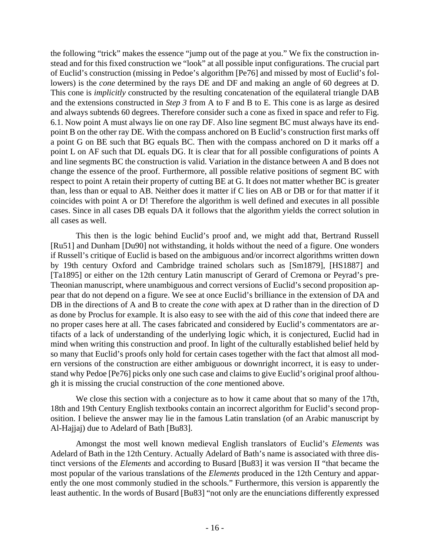the following "trick" makes the essence "jump out of the page at you." We fix the construction instead and for this fixed construction we "look" at all possible input configurations. The crucial part of Euclid's construction (missing in Pedoe's algorithm [Pe76] and missed by most of Euclid's followers) is the *cone* determined by the rays DE and DF and making an angle of 60 degrees at D. This cone is *implicitly* constructed by the resulting concatenation of the equilateral triangle DAB and the extensions constructed in *Step 3* from A to F and B to E. This cone is as large as desired and always subtends 60 degrees. Therefore consider such a cone as fixed in space and refer to Fig. 6.1. Now point A must always lie on one ray DF. Also line segment BC must always have its endpoint B on the other ray DE. With the compass anchored on B Euclid's construction first marks off a point G on BE such that BG equals BC. Then with the compass anchored on D it marks off a point L on AF such that DL equals DG. It is clear that for all possible configurations of points A and line segments BC the construction is valid. Variation in the distance between A and B does not change the essence of the proof. Furthermore, all possible relative positions of segment BC with respect to point A retain their property of cutting BE at G. It does not matter whether BC is greater than, less than or equal to AB. Neither does it matter if C lies on AB or DB or for that matter if it coincides with point A or D! Therefore the algorithm is well defined and executes in all possible cases. Since in all cases DB equals DA it follows that the algorithm yields the correct solution in all cases as well.

This then is the logic behind Euclid's proof and, we might add that, Bertrand Russell [Ru51] and Dunham [Du90] not withstanding, it holds without the need of a figure. One wonders if Russell's critique of Euclid is based on the ambiguous and/or incorrect algorithms written down by 19th century Oxford and Cambridge trained scholars such as [Sm1879], [HS1887] and [Ta1895] or either on the 12th century Latin manuscript of Gerard of Cremona or Peyrad's pre-Theonian manuscript, where unambiguous and correct versions of Euclid's second proposition appear that do not depend on a figure. We see at once Euclid's brilliance in the extension of DA and DB in the directions of A and B to create the *cone* with apex at D rather than in the direction of D as done by Proclus for example. It is also easy to see with the aid of this *cone* that indeed there are no proper cases here at all. The cases fabricated and considered by Euclid's commentators are artifacts of a lack of understanding of the underlying logic which, it is conjectured, Euclid had in mind when writing this construction and proof. In light of the culturally established belief held by so many that Euclid's proofs only hold for certain cases together with the fact that almost all modern versions of the construction are either ambiguous or downright incorrect, it is easy to understand why Pedoe [Pe76] picks only one such case and claims to give Euclid's original proof although it is missing the crucial construction of the *cone* mentioned above.

We close this section with a conjecture as to how it came about that so many of the 17th, 18th and 19th Century English textbooks contain an incorrect algorithm for Euclid's second proposition. I believe the answer may lie in the famous Latin translation (of an Arabic manuscript by Al-Hajjaj) due to Adelard of Bath [Bu83].

Amongst the most well known medieval English translators of Euclid's *Elements* was Adelard of Bath in the 12th Century. Actually Adelard of Bath's name is associated with three distinct versions of the *Elements* and according to Busard [Bu83] it was version II "that became the most popular of the various translations of the *Elements* produced in the 12th Century and apparently the one most commonly studied in the schools." Furthermore, this version is apparently the least authentic. In the words of Busard [Bu83] "not only are the enunciations differently expressed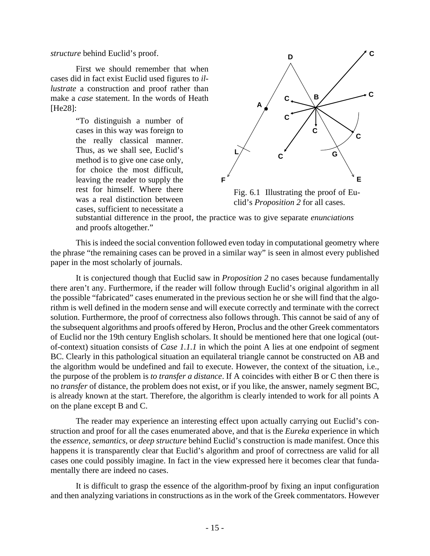*structure* behind Euclid's proof.

First we should remember that when cases did in fact exist Euclid used figures to *illustrate* a construction and proof rather than make a *case* statement. In the words of Heath [He28]:

> "To distinguish a number of cases in this way was foreign to the really classical manner. Thus, as we shall see, Euclid's method is to give one case only, for choice the most difficult, leaving the reader to supply the rest for himself. Where there was a real distinction between cases, sufficient to necessitate a



Fig. 6.1 Illustrating the proof of Euclid's *Proposition 2* for all cases.

substantial difference in the proof, the practice was to give separate *enunciations* and proofs altogether."

This is indeed the social convention followed even today in computational geometry where the phrase "the remaining cases can be proved in a similar way" is seen in almost every published paper in the most scholarly of journals.

It is conjectured though that Euclid saw in *Proposition 2* no cases because fundamentally there aren't any. Furthermore, if the reader will follow through Euclid's original algorithm in all the possible "fabricated" cases enumerated in the previous section he or she will find that the algorithm is well defined in the modern sense and will execute correctly and terminate with the correct solution. Furthermore, the proof of correctness also follows through. This cannot be said of any of the subsequent algorithms and proofs offered by Heron, Proclus and the other Greek commentators of Euclid nor the 19th century English scholars. It should be mentioned here that one logical (outof-context) situation consists of *Case 1.1.1* in which the point A lies at one endpoint of segment BC. Clearly in this pathological situation an equilateral triangle cannot be constructed on AB and the algorithm would be undefined and fail to execute. However, the context of the situation, i.e., the purpose of the problem is *to transfer a distance*. If A coincides with either B or C then there is no *transfer* of distance, the problem does not exist, or if you like, the answer, namely segment BC, is already known at the start. Therefore, the algorithm is clearly intended to work for all points A on the plane except B and C.

The reader may experience an interesting effect upon actually carrying out Euclid's construction and proof for all the cases enumerated above, and that is the *Eureka* experience in which the *essence, semantics,* or *deep structure* behind Euclid's construction is made manifest. Once this happens it is transparently clear that Euclid's algorithm and proof of correctness are valid for all cases one could possibly imagine. In fact in the view expressed here it becomes clear that fundamentally there are indeed no cases.

It is difficult to grasp the essence of the algorithm-proof by fixing an input configuration and then analyzing variations in constructions as in the work of the Greek commentators. However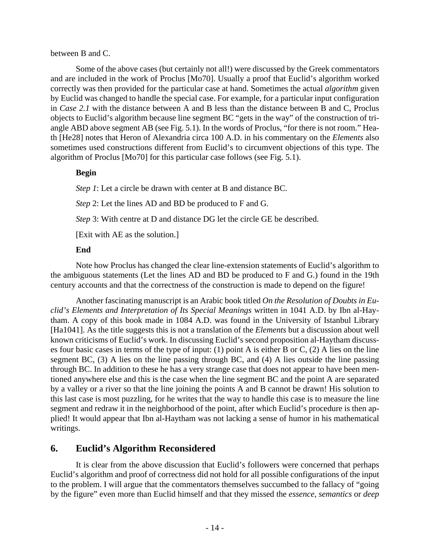### between B and C.

Some of the above cases (but certainly not all!) were discussed by the Greek commentators and are included in the work of Proclus [Mo70]. Usually a proof that Euclid's algorithm worked correctly was then provided for the particular case at hand. Sometimes the actual *algorithm* given by Euclid was changed to handle the special case. For example, for a particular input configuration in *Case 2.1* with the distance between A and B less than the distance between B and C, Proclus objects to Euclid's algorithm because line segment BC "gets in the way" of the construction of triangle ABD above segment AB (see Fig. 5.1). In the words of Proclus, "for there is not room." Heath [He28] notes that Heron of Alexandria circa 100 A.D. in his commentary on the *Elements* also sometimes used constructions different from Euclid's to circumvent objections of this type. The algorithm of Proclus [Mo70] for this particular case follows (see Fig. 5.1).

### **Begin**

*Step 1*: Let a circle be drawn with center at B and distance BC.

*Step* 2: Let the lines AD and BD be produced to F and G.

*Step* 3: With centre at D and distance DG let the circle GE be described.

[Exit with AE as the solution.]

## **End**

Note how Proclus has changed the clear line-extension statements of Euclid's algorithm to the ambiguous statements (Let the lines AD and BD be produced to F and G.) found in the 19th century accounts and that the correctness of the construction is made to depend on the figure!

Another fascinating manuscript is an Arabic book titled *On the Resolution of Doubts in Euclid's Elements and Interpretation of Its Special Meanings* written in 1041 A.D. by Ibn al-Haytham. A copy of this book made in 1084 A.D. was found in the University of Istanbul Library [Ha1041]. As the title suggests this is not a translation of the *Elements* but a discussion about well known criticisms of Euclid's work. In discussing Euclid's second proposition al-Haytham discusses four basic cases in terms of the type of input: (1) point A is either B or C, (2) A lies on the line segment BC, (3) A lies on the line passing through BC, and (4) A lies outside the line passing through BC. In addition to these he has a very strange case that does not appear to have been mentioned anywhere else and this is the case when the line segment BC and the point A are separated by a valley or a river so that the line joining the points A and B cannot be drawn! His solution to this last case is most puzzling, for he writes that the way to handle this case is to measure the line segment and redraw it in the neighborhood of the point, after which Euclid's procedure is then applied! It would appear that Ibn al-Haytham was not lacking a sense of humor in his mathematical writings.

# **6. Euclid's Algorithm Reconsidered**

It is clear from the above discussion that Euclid's followers were concerned that perhaps Euclid's algorithm and proof of correctness did not hold for all possible configurations of the input to the problem. I will argue that the commentators themselves succumbed to the fallacy of "going by the figure" even more than Euclid himself and that they missed the *essence*, *semantics* or *deep*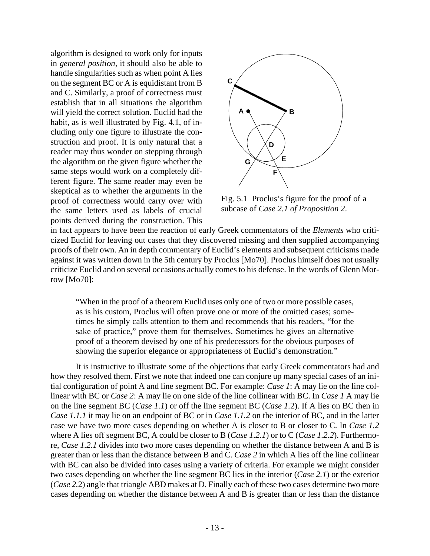algorithm is designed to work only for inputs in *general position*, it should also be able to handle singularities such as when point A lies on the segment BC or A is equidistant from B and C. Similarly, a proof of correctness must establish that in all situations the algorithm will yield the correct solution. Euclid had the habit, as is well illustrated by Fig. 4.1, of including only one figure to illustrate the construction and proof. It is only natural that a reader may thus wonder on stepping through the algorithm on the given figure whether the same steps would work on a completely different figure. The same reader may even be skeptical as to whether the arguments in the proof of correctness would carry over with the same letters used as labels of crucial points derived during the construction. This



Fig. 5.1 Proclus's figure for the proof of a subcase of *Case 2.1 of Proposition 2*.

in fact appears to have been the reaction of early Greek commentators of the *Elements* who criticized Euclid for leaving out cases that they discovered missing and then supplied accompanying proofs of their own. An in depth commentary of Euclid's elements and subsequent criticisms made against it was written down in the 5th century by Proclus [Mo70]. Proclus himself does not usually criticize Euclid and on several occasions actually comes to his defense. In the words of Glenn Morrow [Mo70]:

"When in the proof of a theorem Euclid uses only one of two or more possible cases, as is his custom, Proclus will often prove one or more of the omitted cases; sometimes he simply calls attention to them and recommends that his readers, "for the sake of practice," prove them for themselves. Sometimes he gives an alternative proof of a theorem devised by one of his predecessors for the obvious purposes of showing the superior elegance or appropriateness of Euclid's demonstration."

It is instructive to illustrate some of the objections that early Greek commentators had and how they resolved them. First we note that indeed one can conjure up many special cases of an initial configuration of point A and line segment BC. For example: *Case 1*: A may lie on the line collinear with BC or *Case 2*: A may lie on one side of the line collinear with BC. In *Case 1* A may lie on the line segment BC (*Case 1.1*) or off the line segment BC (*Case 1.*2). If A lies on BC then in *Case 1.1.1* it may lie on an endpoint of BC or in *Case 1.1.2* on the interior of BC, and in the latter case we have two more cases depending on whether A is closer to B or closer to C. In *Case 1.2* where A lies off segment BC, A could be closer to B (*Case 1.2.1*) or to C (*Case 1.2.2*). Furthermore, *Case 1.2.1* divides into two more cases depending on whether the distance between A and B is greater than or less than the distance between B and C. *Case 2* in which A lies off the line collinear with BC can also be divided into cases using a variety of criteria. For example we might consider two cases depending on whether the line segment BC lies in the interior (*Case 2.1*) or the exterior (*Case 2.*2) angle that triangle ABD makes at D. Finally each of these two cases determine two more cases depending on whether the distance between A and B is greater than or less than the distance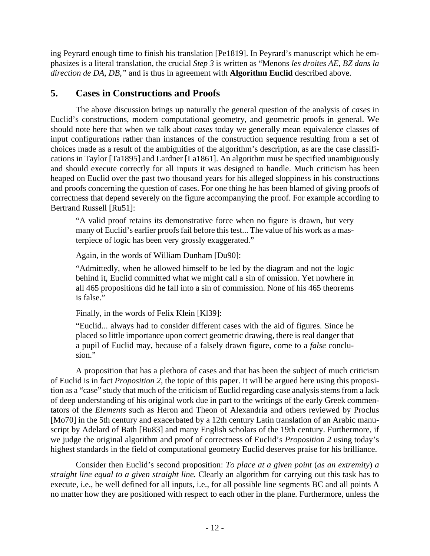ing Peyrard enough time to finish his translation [Pe1819]. In Peyrard's manuscript which he emphasizes is a literal translation, the crucial *Step 3* is written as "Menons *les droites AE, BZ dans la direction de DA, DB,"* and is thus in agreement with **Algorithm Euclid** described above.

# **5. Cases in Constructions and Proofs**

The above discussion brings up naturally the general question of the analysis of *cases* in Euclid's constructions, modern computational geometry, and geometric proofs in general. We should note here that when we talk about *cases* today we generally mean equivalence classes of input configurations rather than instances of the construction sequence resulting from a set of choices made as a result of the ambiguities of the algorithm's description, as are the case classifications in Taylor [Ta1895] and Lardner [La1861]. An algorithm must be specified unambiguously and should execute correctly for all inputs it was designed to handle. Much criticism has been heaped on Euclid over the past two thousand years for his alleged sloppiness in his constructions and proofs concerning the question of cases. For one thing he has been blamed of giving proofs of correctness that depend severely on the figure accompanying the proof. For example according to Bertrand Russell [Ru51]:

"A valid proof retains its demonstrative force when no figure is drawn, but very many of Euclid's earlier proofs fail before this test... The value of his work as a masterpiece of logic has been very grossly exaggerated."

Again, in the words of William Dunham [Du90]:

"Admittedly, when he allowed himself to be led by the diagram and not the logic behind it, Euclid committed what we might call a sin of omission. Yet nowhere in all 465 propositions did he fall into a sin of commission. None of his 465 theorems is false."

Finally, in the words of Felix Klein [Kl39]:

"Euclid... always had to consider different cases with the aid of figures. Since he placed so little importance upon correct geometric drawing, there is real danger that a pupil of Euclid may, because of a falsely drawn figure, come to a *false* conclusion."

A proposition that has a plethora of cases and that has been the subject of much criticism of Euclid is in fact *Proposition 2*, the topic of this paper. It will be argued here using this proposition as a "case" study that much of the criticism of Euclid regarding case analysis stems from a lack of deep understanding of his original work due in part to the writings of the early Greek commentators of the *Elements* such as Heron and Theon of Alexandria and others reviewed by Proclus [Mo70] in the 5th century and exacerbated by a 12th century Latin translation of an Arabic manuscript by Adelard of Bath [Bu83] and many English scholars of the 19th century. Furthermore, if we judge the original algorithm and proof of correctness of Euclid's *Proposition 2* using today's highest standards in the field of computational geometry Euclid deserves praise for his brilliance.

Consider then Euclid's second proposition: *To place at a given point* (*as an extremity*) *a straight line equal to a given straight line.* Clearly an algorithm for carrying out this task has to execute, i.e., be well defined for all inputs, i.e., for all possible line segments BC and all points A no matter how they are positioned with respect to each other in the plane. Furthermore, unless the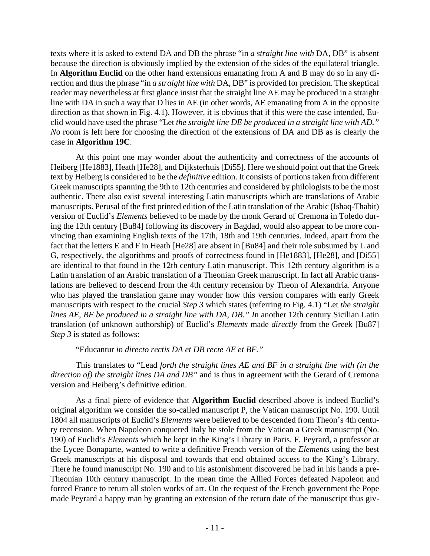texts where it is asked to extend DA and DB the phrase "in *a straight line with* DA, DB" is absent because the direction is obviously implied by the extension of the sides of the equilateral triangle. In **Algorithm Euclid** on the other hand extensions emanating from A and B may do so in any direction and thus the phrase "in *a straight line with* DA, DB" is provided for precision. The skeptical reader may nevertheless at first glance insist that the straight line AE may be produced in a straight line with DA in such a way that D lies in AE (in other words, AE emanating from A in the opposite direction as that shown in Fig. 4.1). However, it is obvious that if this were the case intended, Euclid would have used the phrase "Let *the straight line DE be produced in a straight line with AD." N*o room is left here for choosing the direction of the extensions of DA and DB as is clearly the case in **Algorithm 19C**.

At this point one may wonder about the authenticity and correctness of the accounts of Heiberg [He1883], Heath [He28], and Dijksterhuis [Di55]. Here we should point out that the Greek text by Heiberg is considered to be the *definitive* edition. It consists of portions taken from different Greek manuscripts spanning the 9th to 12th centuries and considered by philologists to be the most authentic. There also exist several interesting Latin manuscripts which are translations of Arabic manuscripts. Perusal of the first printed edition of the Latin translation of the Arabic (Ishaq-Thabit) version of Euclid's *Elements* believed to be made by the monk Gerard of Cremona in Toledo during the 12th century [Bu84] following its discovery in Bagdad, would also appear to be more convincing than examining English texts of the 17th, 18th and 19th centuries. Indeed, apart from the fact that the letters E and F in Heath [He28] are absent in [Bu84] and their role subsumed by L and G, respectively, the algorithms and proofs of correctness found in [He1883], [He28], and [Di55] are identical to that found in the 12th century Latin manuscript. This 12th century algorithm is a Latin translation of an Arabic translation of a Theonian Greek manuscript. In fact all Arabic translations are believed to descend from the 4th century recension by Theon of Alexandria. Anyone who has played the translation game may wonder how this version compares with early Greek manuscripts with respect to the crucial *Step 3* which states (referring to Fig. 4.1) "Let *the straight lines AE, BF be produced in a straight line with DA, DB." I*n another 12th century Sicilian Latin translation (of unknown authorship) of Euclid's *Elements* made *directly* from the Greek [Bu87] *Step 3* is stated as follows:

### "Educantur *in directo rectis DA et DB recte AE et BF."*

This translates to "Lead *forth the straight lines AE and BF in a straight line with (in the direction of) the straight lines DA and DB"* and is thus in agreement with the Gerard of Cremona version and Heiberg's definitive edition.

As a final piece of evidence that **Algorithm Euclid** described above is indeed Euclid's original algorithm we consider the so-called manuscript P, the Vatican manuscript No. 190. Until 1804 all manuscripts of Euclid's *Elements* were believed to be descended from Theon's 4th century recension. When Napoleon conquered Italy he stole from the Vatican a Greek manuscript (No. 190) of Euclid's *Elements* which he kept in the King's Library in Paris. F. Peyrard, a professor at the Lycee Bonaparte, wanted to write a definitive French version of the *Elements* using the best Greek manuscripts at his disposal and towards that end obtained access to the King's Library. There he found manuscript No. 190 and to his astonishment discovered he had in his hands a pre-Theonian 10th century manuscript. In the mean time the Allied Forces defeated Napoleon and forced France to return all stolen works of art. On the request of the French government the Pope made Peyrard a happy man by granting an extension of the return date of the manuscript thus giv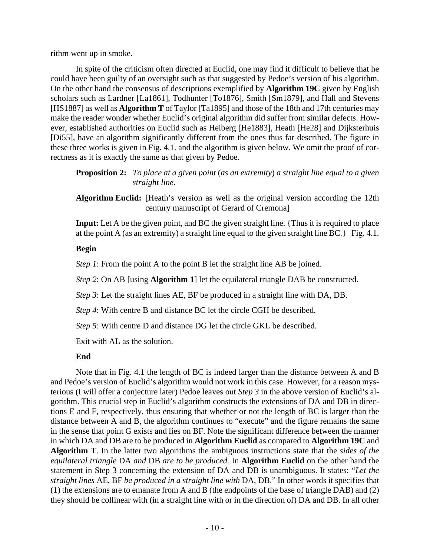rithm went up in smoke.

In spite of the criticism often directed at Euclid, one may find it difficult to believe that he could have been guilty of an oversight such as that suggested by Pedoe's version of his algorithm. On the other hand the consensus of descriptions exemplified by **Algorithm 19C** given by English scholars such as Lardner [La1861], Todhunter [To1876], Smith [Sm1879], and Hall and Stevens [HS1887] as well as **Algorithm T** of Taylor [Ta1895] and those of the 18th and 17th centuries may make the reader wonder whether Euclid's original algorithm did suffer from similar defects. However, established authorities on Euclid such as Heiberg [He1883], Heath [He28] and Dijksterhuis [Di55], have an algorithm significantly different from the ones thus far described. The figure in these three works is given in Fig. 4.1. and the algorithm is given below. We omit the proof of correctness as it is exactly the same as that given by Pedoe.

**Proposition 2:** *To place at a given point* (*as an extremity*) *a straight line equal to a given straight line.*

**Algorithm Euclid:** [Heath's version as well as the original version according the 12th century manuscript of Gerard of Cremona]

**Input:** Let A be the given point, and BC the given straight line. {Thus it is required to place at the point A (as an extremity) a straight line equal to the given straight line BC.} Fig. 4.1.

### **Begin**

*Step 1*: From the point A to the point B let the straight line AB be joined.

*Step 2*: On AB [using **Algorithm 1**] let the equilateral triangle DAB be constructed.

*Step 3*: Let the straight lines AE, BF be produced in a straight line with DA, DB.

*Step 4*: With centre B and distance BC let the circle CGH be described.

*Step 5*: With centre D and distance DG let the circle GKL be described.

Exit with AL as the solution.

### **End**

Note that in Fig. 4.1 the length of BC is indeed larger than the distance between A and B and Pedoe's version of Euclid's algorithm would not work in this case. However, for a reason mysterious (I will offer a conjecture later) Pedoe leaves out *Step 3* in the above version of Euclid's algorithm. This crucial step in Euclid's algorithm constructs the extensions of DA and DB in directions E and F, respectively, thus ensuring that whether or not the length of BC is larger than the distance between A and B, the algorithm continues to "execute" and the figure remains the same in the sense that point G exists and lies on BF. Note the significant difference between the manner in which DA and DB are to be produced in **Algorithm Euclid** as compared to **Algorithm 19C** and **Algorithm T**. In the latter two algorithms the ambiguous instructions state that the *sides of the equilateral triangle* DA *and* DB *are to be produced.* In **Algorithm Euclid** on the other hand the statement in Step 3 concerning the extension of DA and DB is unambiguous. It states: "*Let the straight lines* AE, BF *be produced in a straight line with* DA, DB." In other words it specifies that (1) the extensions are to emanate from A and B (the endpoints of the base of triangle DAB) and (2) they should be collinear with (in a straight line with or in the direction of) DA and DB. In all other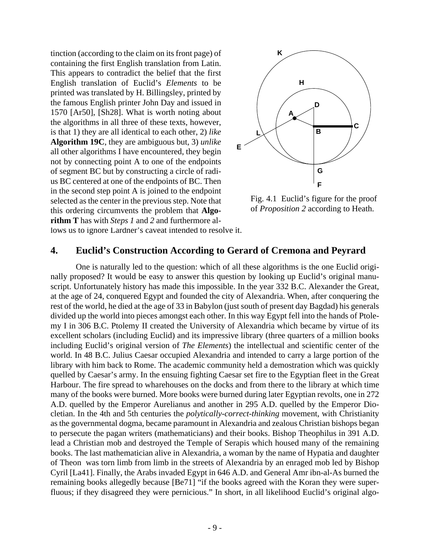lows us to ignore Lardner's caveat intended to resolve it. tinction (according to the claim on its front page) of containing the first English translation from Latin. This appears to contradict the belief that the first English translation of Euclid's *Elements* to be printed was translated by H. Billingsley, printed by the famous English printer John Day and issued in 1570 [Ar50], [Sh28]. What is worth noting about the algorithms in all three of these texts, however, is that 1) they are all identical to each other, 2) *like* **Algorithm 19C**, they are ambiguous but, 3) *unlike* all other algorithms I have encountered, they begin not by connecting point A to one of the endpoints of segment BC but by constructing a circle of radius BC centered at one of the endpoints of BC. Then in the second step point A is joined to the endpoint selected as the center in the previous step. Note that this ordering circumvents the problem that **Algorithm T** has with *Steps 1* and *2* and furthermore al-



Fig. 4.1 Euclid's figure for the proof of *Proposition 2* according to Heath.

# **4. Euclid's Construction According to Gerard of Cremona and Peyrard**

One is naturally led to the question: which of all these algorithms is the one Euclid originally proposed? It would be easy to answer this question by looking up Euclid's original manuscript. Unfortunately history has made this impossible. In the year 332 B.C. Alexander the Great, at the age of 24, conquered Egypt and founded the city of Alexandria. When, after conquering the rest of the world, he died at the age of 33 in Babylon (just south of present day Bagdad) his generals divided up the world into pieces amongst each other. In this way Egypt fell into the hands of Ptolemy I in 306 B.C. Ptolemy II created the University of Alexandria which became by virtue of its excellent scholars (including Euclid) and its impressive library (three quarters of a million books including Euclid's original version of *The Elements*) the intellectual and scientific center of the world. In 48 B.C. Julius Caesar occupied Alexandria and intended to carry a large portion of the library with him back to Rome. The academic community held a demostration which was quickly quelled by Caesar's army. In the ensuing fighting Caesar set fire to the Egyptian fleet in the Great Harbour. The fire spread to wharehouses on the docks and from there to the library at which time many of the books were burned. More books were burned during later Egyptian revolts, one in 272 A.D. quelled by the Emperor Aurelianus and another in 295 A.D. quelled by the Emperor Diocletian. In the 4th and 5th centuries the *polytically-correct-thinking* movement, with Christianity as the governmental dogma, became paramount in Alexandria and zealous Christian bishops began to persecute the pagan writers (mathematicians) and their books. Bishop Theophilus in 391 A.D. lead a Christian mob and destroyed the Temple of Serapis which housed many of the remaining books. The last mathematician alive in Alexandria, a woman by the name of Hypatia and daughter of Theon was torn limb from limb in the streets of Alexandria by an enraged mob led by Bishop Cyril [La41]. Finally, the Arabs invaded Egypt in 646 A.D. and General Amr ibn-al-As burned the remaining books allegedly because [Be71] "if the books agreed with the Koran they were superfluous; if they disagreed they were pernicious." In short, in all likelihood Euclid's original algo-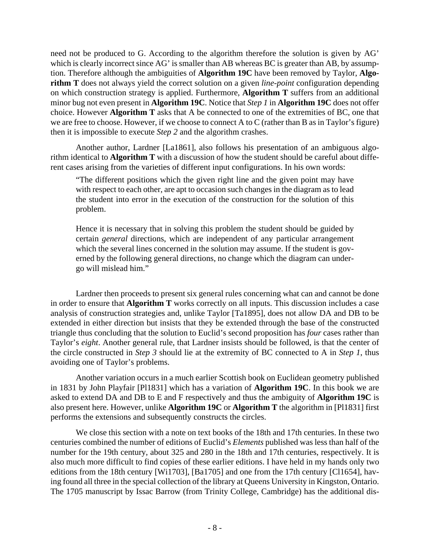need not be produced to G. According to the algorithm therefore the solution is given by AG' which is clearly incorrect since AG' is smaller than AB whereas BC is greater than AB, by assumption. Therefore although the ambiguities of **Algorithm 19C** have been removed by Taylor, **Algorithm T** does not always yield the correct solution on a given *line-point* configuration depending on which construction strategy is applied. Furthermore, **Algorithm T** suffers from an additional minor bug not even present in **Algorithm 19C**. Notice that *Step 1* in **Algorithm 19C** does not offer choice. However **Algorithm T** asks that A be connected to one of the extremities of BC, one that we are free to choose. However, if we choose to connect A to C (rather than B as in Taylor's figure) then it is impossible to execute *Step 2* and the algorithm crashes.

Another author, Lardner [La1861], also follows his presentation of an ambiguous algorithm identical to **Algorithm T** with a discussion of how the student should be careful about different cases arising from the varieties of different input configurations. In his own words:

"The different positions which the given right line and the given point may have with respect to each other, are apt to occasion such changes in the diagram as to lead the student into error in the execution of the construction for the solution of this problem.

Hence it is necessary that in solving this problem the student should be guided by certain *general* directions, which are independent of any particular arrangement which the several lines concerned in the solution may assume. If the student is governed by the following general directions, no change which the diagram can undergo will mislead him."

Lardner then proceeds to present six general rules concerning what can and cannot be done in order to ensure that **Algorithm T** works correctly on all inputs. This discussion includes a case analysis of construction strategies and, unlike Taylor [Ta1895], does not allow DA and DB to be extended in either direction but insists that they be extended through the base of the constructed triangle thus concluding that the solution to Euclid's second proposition has *four* cases rather than Taylor's *eight*. Another general rule, that Lardner insists should be followed, is that the center of the circle constructed in *Step 3* should lie at the extremity of BC connected to A in *Step 1*, thus avoiding one of Taylor's problems.

Another variation occurs in a much earlier Scottish book on Euclidean geometry published in 1831 by John Playfair [Pl1831] which has a variation of **Algorithm 19C**. In this book we are asked to extend DA and DB to E and F respectively and thus the ambiguity of **Algorithm 19C** is also present here. However, unlike **Algorithm 19C** or **Algorithm T** the algorithm in [Pl1831] first performs the extensions and subsequently constructs the circles.

We close this section with a note on text books of the 18th and 17th centuries. In these two centuries combined the number of editions of Euclid's *Elements* published was less than half of the number for the 19th century, about 325 and 280 in the 18th and 17th centuries, respectively. It is also much more difficult to find copies of these earlier editions. I have held in my hands only two editions from the 18th century [Wi1703], [Ba1705] and one from the 17th century [Cl1654], having found all three in the special collection of the library at Queens University in Kingston, Ontario. The 1705 manuscript by Issac Barrow (from Trinity College, Cambridge) has the additional dis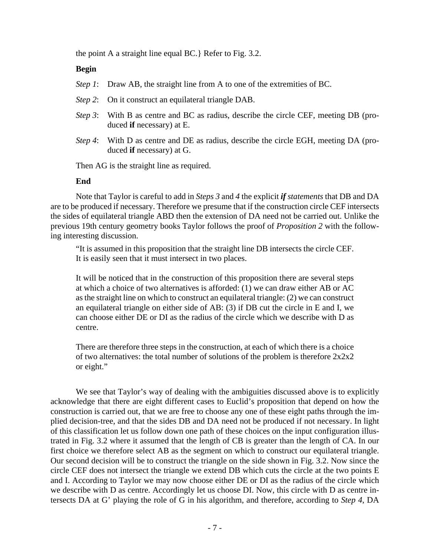the point A a straight line equal BC.} Refer to Fig. 3.2.

### **Begin**

- *Step 1*: Draw AB, the straight line from A to one of the extremities of BC.
- *Step 2*: On it construct an equilateral triangle DAB.
- *Step 3*: With B as centre and BC as radius, describe the circle CEF, meeting DB (produced **if** necessary) at E.
- *Step 4*: With D as centre and DE as radius, describe the circle EGH, meeting DA (produced **if** necessary) at G.

Then AG is the straight line as required.

#### **End**

Note that Taylor is careful to add in *Steps 3* and *4* the explicit *if statements* that DB and DA are to be produced if necessary. Therefore we presume that if the construction circle CEF intersects the sides of equilateral triangle ABD then the extension of DA need not be carried out. Unlike the previous 19th century geometry books Taylor follows the proof of *Proposition 2* with the following interesting discussion.

"It is assumed in this proposition that the straight line DB intersects the circle CEF. It is easily seen that it must intersect in two places.

It will be noticed that in the construction of this proposition there are several steps at which a choice of two alternatives is afforded: (1) we can draw either AB or AC as the straight line on which to construct an equilateral triangle: (2) we can construct an equilateral triangle on either side of AB: (3) if DB cut the circle in E and I, we can choose either DE or DI as the radius of the circle which we describe with D as centre.

There are therefore three steps in the construction, at each of which there is a choice of two alternatives: the total number of solutions of the problem is therefore 2x2x2 or eight."

We see that Taylor's way of dealing with the ambiguities discussed above is to explicitly acknowledge that there are eight different cases to Euclid's proposition that depend on how the construction is carried out, that we are free to choose any one of these eight paths through the implied decision-tree, and that the sides DB and DA need not be produced if not necessary. In light of this classification let us follow down one path of these choices on the input configuration illustrated in Fig. 3.2 where it assumed that the length of CB is greater than the length of CA. In our first choice we therefore select AB as the segment on which to construct our equilateral triangle. Our second decision will be to construct the triangle on the side shown in Fig. 3.2. Now since the circle CEF does not intersect the triangle we extend DB which cuts the circle at the two points E and I. According to Taylor we may now choose either DE or DI as the radius of the circle which we describe with D as centre. Accordingly let us choose DI. Now, this circle with D as centre intersects DA at G' playing the role of G in his algorithm, and therefore, according to *Step 4*, DA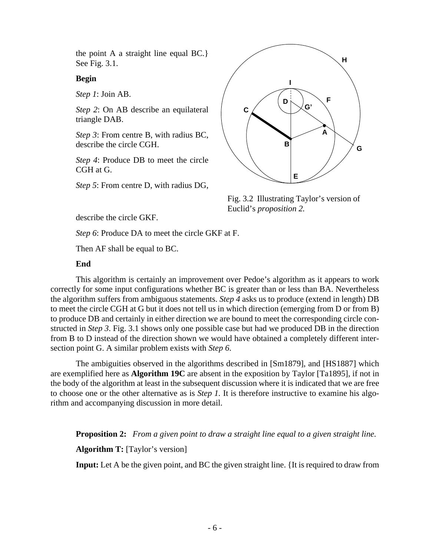the point A a straight line equal BC.} See Fig. 3.1.

#### **Begin**

*Step 1*: Join AB.

*Step 2*: On AB describe an equilateral triangle DAB.

*Step 3*: From centre B, with radius BC, describe the circle CGH.

*Step 4*: Produce DB to meet the circle CGH at G.

*Step 5*: From centre D, with radius DG,



Fig. 3.2 Illustrating Taylor's version of Euclid's *proposition 2.*

describe the circle GKF.

*Step 6*: Produce DA to meet the circle GKF at F.

Then AF shall be equal to BC.

## **End**

This algorithm is certainly an improvement over Pedoe's algorithm as it appears to work correctly for some input configurations whether BC is greater than or less than BA. Nevertheless the algorithm suffers from ambiguous statements. *Step 4* asks us to produce (extend in length) DB to meet the circle CGH at G but it does not tell us in which direction (emerging from D or from B) to produce DB and certainly in either direction we are bound to meet the corresponding circle constructed in *Step 3*. Fig. 3.1 shows only one possible case but had we produced DB in the direction from B to D instead of the direction shown we would have obtained a completely different intersection point G. A similar problem exists with *Step 6*.

The ambiguities observed in the algorithms described in [Sm1879], and [HS1887] which are exemplified here as **Algorithm 19C** are absent in the exposition by Taylor [Ta1895], if not in the body of the algorithm at least in the subsequent discussion where it is indicated that we are free to choose one or the other alternative as is *Step 1.* It is therefore instructive to examine his algorithm and accompanying discussion in more detail.

**Proposition 2:** *From a given point to draw a straight line equal to a given straight line.*

**Algorithm T:** [Taylor's version]

**Input:** Let A be the given point, and BC the given straight line. {It is required to draw from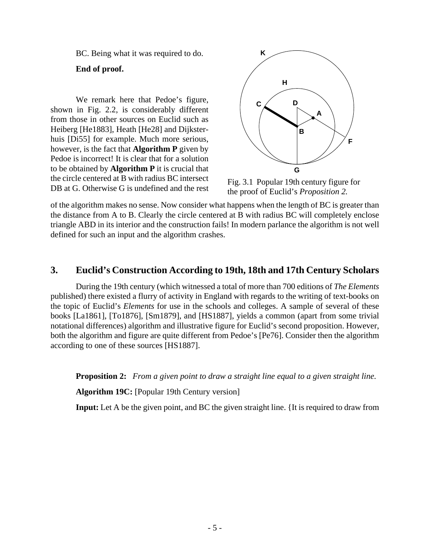BC. Being what it was required to do.

**End of proof.**

We remark here that Pedoe's figure, shown in Fig. 2.2, is considerably different from those in other sources on Euclid such as Heiberg [He1883], Heath [He28] and Dijksterhuis [Di55] for example. Much more serious, however, is the fact that **Algorithm P** given by Pedoe is incorrect! It is clear that for a solution to be obtained by **Algorithm P** it is crucial that the circle centered at B with radius BC intersect DB at G. Otherwise G is undefined and the rest



Fig. 3.1 Popular 19th century figure for the proof of Euclid's *Proposition 2.*

of the algorithm makes no sense. Now consider what happens when the length of BC is greater than the distance from A to B. Clearly the circle centered at B with radius BC will completely enclose triangle ABD in its interior and the construction fails! In modern parlance the algorithm is not well defined for such an input and the algorithm crashes.

# **3. Euclid's Construction According to 19th, 18th and 17th Century Scholars**

During the 19th century (which witnessed a total of more than 700 editions of *The Elements* published) there existed a flurry of activity in England with regards to the writing of text-books on the topic of Euclid's *Elements* for use in the schools and colleges. A sample of several of these books [La1861], [To1876], [Sm1879], and [HS1887], yields a common (apart from some trivial notational differences) algorithm and illustrative figure for Euclid's second proposition. However, both the algorithm and figure are quite different from Pedoe's [Pe76]. Consider then the algorithm according to one of these sources [HS1887].

**Proposition 2:** *From a given point to draw a straight line equal to a given straight line.*

**Algorithm 19C:** [Popular 19th Century version]

**Input:** Let A be the given point, and BC the given straight line. {It is required to draw from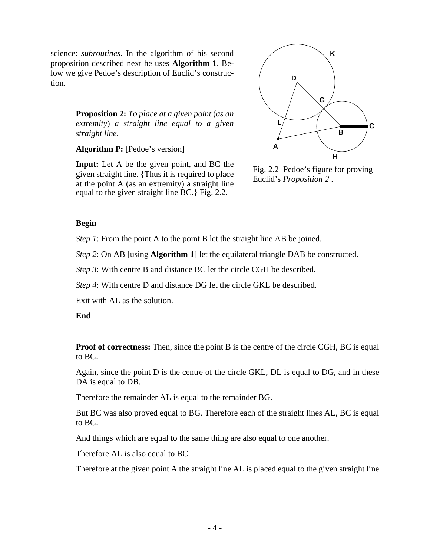science: *subroutines*. In the algorithm of his second  $\mathsf{K}$ proposition described next he uses **Algorithm 1**. Below we give Pedoe's description of Euclid's construction.

**Proposition 2:** *To place at a given point* (*as an extremity*) *a straight line equal to a given straight line.*

**Algorithm P:** [Pedoe's version]

equal to the given straight line BC.} Fig. 2.2. **Input:** Let A be the given point, and BC the given straight line. {Thus it is required to place at the point A (as an extremity) a straight line



Fig. 2.2 Pedoe's figure for proving Euclid's *Proposition 2* .

## **Begin**

*Step 1*: From the point A to the point B let the straight line AB be joined.

*Step 2*: On AB [using **Algorithm 1**] let the equilateral triangle DAB be constructed.

*Step 3*: With centre B and distance BC let the circle CGH be described.

*Step 4*: With centre D and distance DG let the circle GKL be described.

Exit with AL as the solution.

# **End**

**Proof of correctness:** Then, since the point B is the centre of the circle CGH, BC is equal to BG.

Again, since the point D is the centre of the circle GKL, DL is equal to DG, and in these DA is equal to DB.

Therefore the remainder AL is equal to the remainder BG.

But BC was also proved equal to BG. Therefore each of the straight lines AL, BC is equal to BG.

And things which are equal to the same thing are also equal to one another.

Therefore AL is also equal to BC.

Therefore at the given point A the straight line AL is placed equal to the given straight line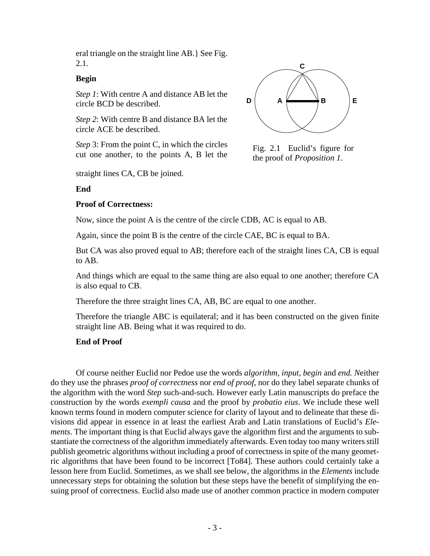eral triangle on the straight line AB.} See Fig. 2.1.

### **Begin**

*Step 1*: With centre A and distance AB let the circle BCD be described.

*Step 2*: With centre B and distance BA let the circle ACE be described.

*Step* 3: From the point C, in which the circles cut one another, to the points A, B let the

straight lines CA, CB be joined.



#### **Proof of Correctness:**



Fig. 2.1 Euclid's figure for the proof of *Proposition 1*.

Now, since the point A is the centre of the circle CDB, AC is equal to AB.

Again, since the point B is the centre of the circle CAE, BC is equal to BA.

But CA was also proved equal to AB; therefore each of the straight lines CA, CB is equal to AB.

And things which are equal to the same thing are also equal to one another; therefore CA is also equal to CB.

Therefore the three straight lines CA, AB, BC are equal to one another.

Therefore the triangle ABC is equilateral; and it has been constructed on the given finite straight line AB. Being what it was required to do.

### **End of Proof**

Of course neither Euclid nor Pedoe use the words *algorithm, input, begin* and *end. N*either do they use the phrases *proof of correctness* nor *end of proof*, nor do they label separate chunks of the algorithm with the word *Step* such-and-such. However early Latin manuscripts do preface the construction by the words *exempli causa* and the proof by *probatio eius*. We include these well known terms found in modern computer science for clarity of layout and to delineate that these divisions did appear in essence in at least the earliest Arab and Latin translations of Euclid's *Elements*. The important thing is that Euclid always gave the algorithm first and the arguments to substantiate the correctness of the algorithm immediately afterwards. Even today too many writers still publish geometric algorithms without including a proof of correctness in spite of the many geometric algorithms that have been found to be incorrect [To84]. These authors could certainly take a lesson here from Euclid. Sometimes, as we shall see below, the algorithms in the *Elements* include unnecessary steps for obtaining the solution but these steps have the benefit of simplifying the ensuing proof of correctness. Euclid also made use of another common practice in modern computer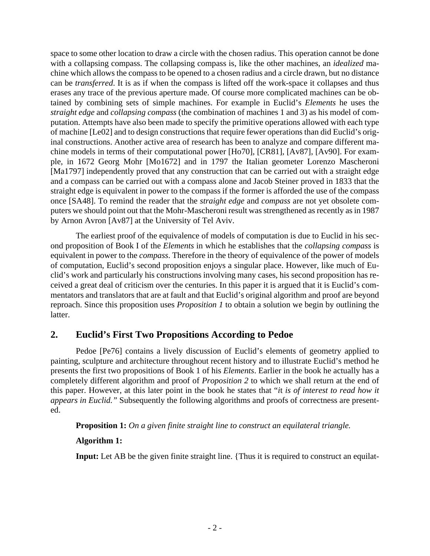space to some other location to draw a circle with the chosen radius. This operation cannot be done with a collapsing compass. The collapsing compass is, like the other machines, an *idealized* machine which allows the compass to be opened to a chosen radius and a circle drawn, but no distance can be *transferred*. It is as if when the compass is lifted off the work-space it collapses and thus erases any trace of the previous aperture made. Of course more complicated machines can be obtained by combining sets of simple machines. For example in Euclid's *Elements* he uses the *straight edge* and *collapsing compass* (the combination of machines 1 and 3) as his model of computation. Attempts have also been made to specify the primitive operations allowed with each type of machine [Le02] and to design constructions that require fewer operations than did Euclid's original constructions. Another active area of research has been to analyze and compare different machine models in terms of their computational power [Ho70], [CR81], [Av87], [Av90]. For example, in 1672 Georg Mohr [Mo1672] and in 1797 the Italian geometer Lorenzo Mascheroni [Ma1797] independently proved that any construction that can be carried out with a straight edge and a compass can be carried out with a compass alone and Jacob Steiner proved in 1833 that the straight edge is equivalent in power to the compass if the former is afforded the use of the compass once [SA48]. To remind the reader that the *straight edge* and *compass* are not yet obsolete computers we should point out that the Mohr-Mascheroni result was strengthened as recently as in 1987 by Arnon Avron [Av87] at the University of Tel Aviv.

The earliest proof of the equivalence of models of computation is due to Euclid in his second proposition of Book I of the *Elements* in which he establishes that the *collapsing compass* is equivalent in power to the *compass*. Therefore in the theory of equivalence of the power of models of computation, Euclid's second proposition enjoys a singular place. However, like much of Euclid's work and particularly his constructions involving many cases, his second proposition has received a great deal of criticism over the centuries. In this paper it is argued that it is Euclid's commentators and translators that are at fault and that Euclid's original algorithm and proof are beyond reproach. Since this proposition uses *Proposition 1* to obtain a solution we begin by outlining the latter.

# **2. Euclid's First Two Propositions According to Pedoe**

Pedoe [Pe76] contains a lively discussion of Euclid's elements of geometry applied to painting, sculpture and architecture throughout recent history and to illustrate Euclid's method he presents the first two propositions of Book 1 of his *Elements*. Earlier in the book he actually has a completely different algorithm and proof of *Proposition 2* to which we shall return at the end of this paper. However, at this later point in the book he states that "*i*t *is of interest to read how it appears in Euclid."* Subsequently the following algorithms and proofs of correctness are presented.

**Proposition 1:** *On a given finite straight line to construct an equilateral triangle.*

# **Algorithm 1:**

**Input:** Let AB be the given finite straight line. {Thus it is required to construct an equilat-